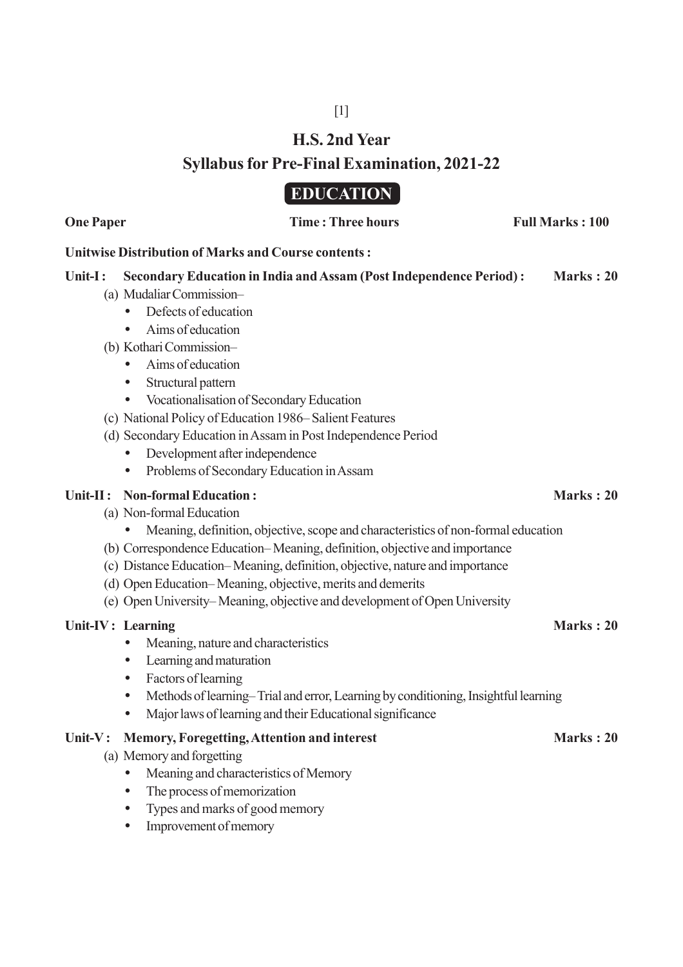# **H.S. 2nd Year**

[1]

# **Syllabus for Pre-Final Examination, 2021-22**

# **EDUCATION**

### **Unitwise Distribution of Marks and Course contents :**

## **Unit-I : Secondary Education in India and Assam (Post Independence Period) : Marks : 20**

- (a) Mudaliar Commission–
	- Defects of education
	- Aims of education
- (b) Kothari Commission–
	- Aims of education
	- Structural pattern
	- Vocationalisation of Secondary Education
- (c) National Policy of Education 1986– Salient Features
- (d) Secondary Education in Assam in Post Independence Period
	- Development after independence
	- Problems of Secondary Education in Assam

## Unit-II : Non-formal Education : **Marks : 20** Marks : 20

- (a) Non-formal Education
	- Meaning, definition, objective, scope and characteristics of non-formal education
- (b) Correspondence Education– Meaning, definition, objective and importance
- (c) Distance Education– Meaning, definition, objective, nature and importance
- (d) Open Education– Meaning, objective, merits and demerits
- (e) Open University– Meaning, objective and development of Open University

## **Unit-IV : Learning Marks : 20**

- Meaning, nature and characteristics
- Learning and maturation
- Factors of learning
- Methods of learning–Trial and error, Learning by conditioning, Insightful learning
- Major laws of learning and their Educational significance

### Unit-V: Memory, Foregetting, Attention and interest Marks : 20

- (a) Memory and forgetting
	- Meaning and characteristics of Memory
	- The process of memorization
	- Types and marks of good memory
	- Improvement of memory

**One Paper Time : Three hours Full Marks : 100**